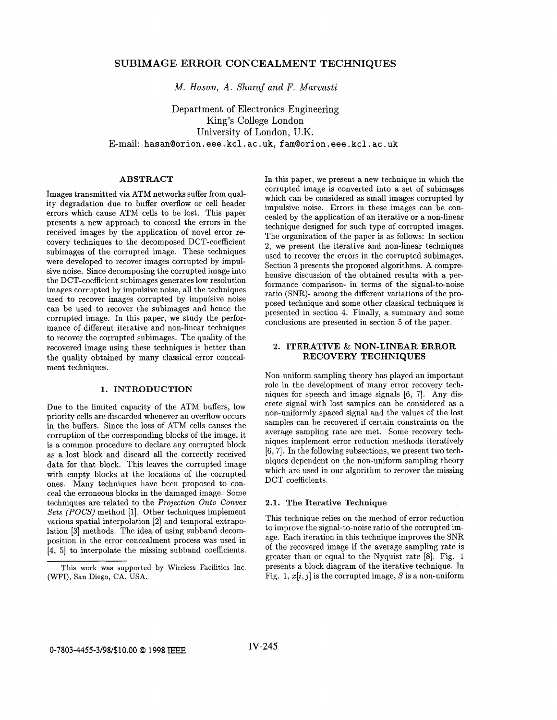# **SUBIMAGE ERROR CONCEALMENT TECHNIQUES**

*M. Hasan, A. Sharaf and F. Marvasti* 

Department of Electronics Engineering King's College London University of London, U.K. E-mail: hasan@orion.eee.kcl.ac.uk, fam@orion.eee.kcl.ac.uk

# **ABSTRACT**

Images transmitted via ATM networks suffer from quality degradation due to buffer overflow or cell header errors which cause ATM cells to be lost. This paper presents a new approach to conceal the errors in the received images by the application of novel error recovery techniques to the decomposed DCT-coefficient subimages of the corrupted image. These techniques were developed to recover images corrupted by impulsive noise. Since decomposing the corrupted image into the DCT-coefficient subimages generates low resolution images corrupted by impulsive noise, all the techniques used to recover images corrupted by impulsive noise can be used to recover the subimages and hence the corrupted image. In this paper, we study the performance of different iterative and non-linear techniques to recover the corrupted subimages. The quality of the recovered image using these techniques is better than the quality obtained by many classical error concealment techniques.

### **1. INTRODUCTION**

Due to the limited capacity of the ATM buffers, low priority cells are discarded whenever an overflow occurs in the buffers. Since the loss of ATM cells causes the corruption of the corresponding blocks of the image, it is a common procedure to declare any corrupted block as a lost block and discard all the correctly received data for that block. This leaves the corrupted image with empty blocks at the locations of the corrupted ones. Many techniques have been proposed to conceal the erroneous blocks in the damaged image. Some techniques are related to the *Projection Onto Convex Sets (POCS)* method [l]. Other techniques implement various spatial interpolation [2] and temporal extrapolation **[3]** methods. The idea of using subband decomposition in the error concealment process was used in **[4,** 51 to interpolate the missing subband coefficients. In this paper, we present a new technique in which the corrupted image is converted into a set of subimages which can be considered as small images corrupted by impulsive noise. Errors in these images can be concealed by the application of an iterative or a non-linear technique designed for such type of corrupted images. The organization of the paper is as follows: In section **2,** we present the iterative and non-linear techniques used to recover the errors in the corrupted subimages. Section **3** presents the proposed algorithms. A comprehensive discussion of the obtained results with a performance comparison- in terms of the signal-to-noise ratio (SNR)- among the different variations of the proposed technique and some other classical techniques is presented in section **4.** Finally, a summary and some conclusions are presented in section 5 of the paper.

# **2. ITERATIVE** & **NON-LINEAR ERROR RECOVERY TECHNIQUES**

Non-uniform sampling theory has played an important role in the development of many error recovery techniques for speech and image signals **[6,** 71. Any discrete signal with lost samples can be considered as a non-uniformly spaced signal and the values of the lost samples can be recovered if certain constraints on the average sampling rate are met. Some recovery techniques implement error reduction methods iteratively [6,7]. In the following subsections, we present two techniques dependent on the non-uniform sampling theory which are used in our algorithm to recover the missing DCT coefficients.

#### **2.1. The Iterative Technique**

This technique relies on the method of error reduction to improve the signal-to-noise ratio of the corrupted image. Each iteration in this technique improves the SNR of the recovered image if the average sampling rate is greater than or equal to the Nyquist rate  $[8]$ . Fig. 1 presents a block diagram of the iterative technique. In Fig. 1, *x[i, j]* is the corrupted image, *S* is a non-uniform

This work was **supported** by Wireless Facilities Inc. (WFI), San Diego, **CA, USA.**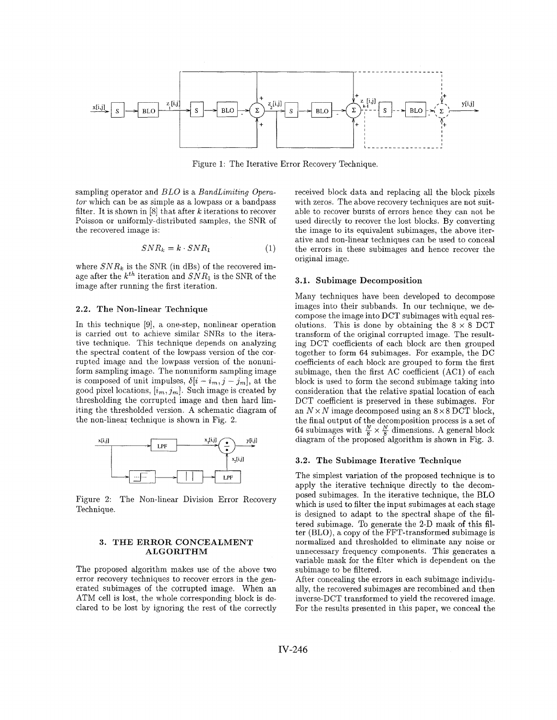

Figure 1: The Iterative Error Recovery Technique.

sampling operator and *BLO* is a *BundLimiting Operutor* which can be as simple as a lowpass or a bandpass filter. It is shown in  $[8]$  that after  $k$  iterations to recover Poisson or uniformly-distributed samples, the SNR of the recovered image is:

$$
SNR_k = k \cdot SNR_1 \tag{1}
$$

where  $SNR_k$  is the SNR (in dBs) of the recovered image after the  $k^{th}$  iteration and  $SNR_1$  is the SNR of the image after running the first iteration.

# **2.2. The Non-linear Technique**

In this technique [9], a one-step, nonlinear operation is carried out to achieve similar SNRs to the iterative technique. This technique depends on analyzing the spectral content of the lowpass version of the corrupted image and the lowpass version of the nonuniform sampling image. The nonuniform sampling image is composed of unit impulses,  $\delta[i - i_m, j - j_m]$ , at the good pixel locations,  $[i_m, j_m]$ . Such image is created by thresholding the corrupted image and then hard limiting the thresholded version. A schematic diagram of the non-linear technique is shown in Fig. 2.



Figure 2: The Non-linear Division Error Recovery Technique.

#### **3. THE ERROR CONCEALMENT ALGORITHM**

The proposed algorithm makes use of the above two error recovery techniques to recover errors in the generated subimages of the corrupted image. When an ATM cell is lost, the whole corresponding block is declared to be lost by ignoring the rest of the correctly received block data and replacing all the block pixels with zeros. The above recovery techniques are not suitable to recover bursts of errors hence they can not be used directly to recover the lost blocks. By converting the image to its equivalent subimages, the above iterative and non-linear techniques can be used to conceal the errors in these subimages and hence recover the original image.

#### **3.1. Subimage Decomposition**

Many techniques have been developed to decompose images into their subbands. In our technique, we decompose the image into DCT subimages with equal resolutions. This is done by obtaining the  $8 \times 8$  DCT transform of the original corrupted image. The resulting DCT coefficients of each block are then grouped together to form 64 subimages. For example, the DC coefficients of each block are grouped to form the first subimage, then the first AC coefficient (AC1) of each block is used to form the second subimage taking into consideration that the relative spatial location of each DCT coefficient is preserved in these subimages. For an  $N \times N$  image decomposed using an  $8 \times 8$  DCT block, the final output of the decomposition process is a set of 64 subimages with  $\frac{N}{8} \times \frac{N}{8}$  dimensions. A general block diagram of the proposed algorithm is shown in Fig. **3.** 

#### **3.2. The Subimage Iterative Technique**

The simplest variation of the proposed technique is to apply the iterative technique directly to the decomposed subimages. In the iterative technique, the BLO which is used to filter the input subimages at each stage is designed to adapt to the spectral shape of the filtered subimage. To generate the 2-D mask of this filter (BLO), a copy of the FFT-transformed subimage is normalized and thresholded to eliminate any noise or unnecessary frequency components. This generates a variable mask for the filter which is dependent on the subimage to be filtered.

After concealing the errors in each subimage individually, the recovered subimages are recombined and then inverse-DCT transformed to yield the recovered image. For the results presented in this paper, we conceal the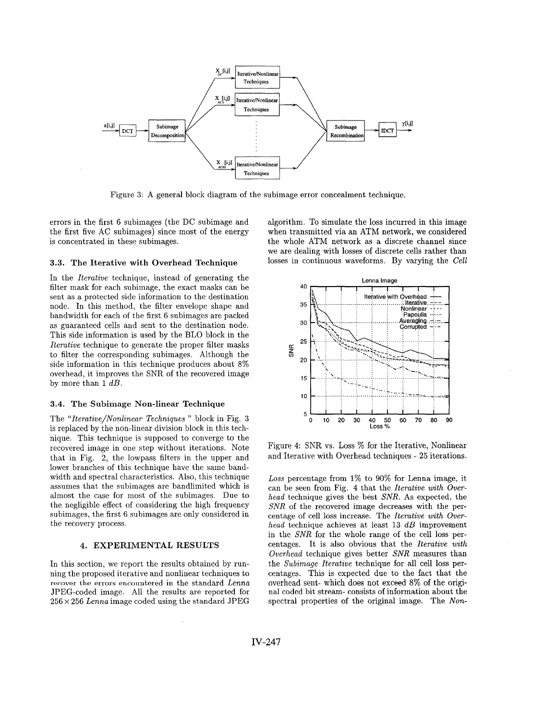

Figure 3: A general block diagram of the subimage error concealment technique.

errors in the first 6 subimages (the DC subimage and the first five AC subimages) since most of the energy is concentrated in these subimages.

### **3.3. The Iterative with Overhead Technique**

In the *Iterative* technique, instead of generating the filter mask for each subimage, the exact masks can be sent as a protected side information to the destination node. In this method, the filter envelope shape and bandwidth for each of the first 6 subimages are packed as guaranteed cells and sent to the destination node. This side information is used by the BLO block in the *Iterative* technique to generate the proper filter masks to filter the corresponding subimages. Although the side information in this technique produces about 8% overhead, it improves the SNR of the recovered image by more than 1 *dB.* 

### **3.4. The Subimage Non-linear Technique**

The *"Iterative/Nonlinear Techniques* " block in Fig. **3**  is replaced by the non-linear division block in this technique. This technique is supposed to converge to the recovered image in one step without iterations. Note that in Fig. **2,** the lowpass filters in the upper and lower branches of this technique have the same bandwidth and spectral characteristics. Also, this technique assumes that the subimages are bandlimited which is almost the case for most of the subimages. Due to the negligible effect of considering the high frequency subimages, the first 6 subimages are only considered in the recovery process.

# **4. EXPERIMENTAL RESULTS**

In this section, we report the results obtained by running the proposed iterative and nonlinear techniques to **recover the errors encountered** in the standard *Lema*  JPEG-coded image. All the results are reported for 256 *x* 256 *Lenna* image coded using the standard JPEG

algorithm. To simulate the loss incurred in this image when transmitted via an ATM network, we considered the whole ATM network as a discrete channel since we are dealing with losses of discrete cells rather than losses in continuous waveforms. By varying the *Cell* 



Figure **4:** SNR vs. Loss % for the Iterative, Nonlinear and Iterative with Overhead techniques - 25 iterations.

*Loss* percentage from 1% to 90% for Lenna image, it can be seen from Fig. 4 that the *Iterative with Overhead* technique gives the best *SNR.* As expected, the *SNR* of the recovered image decreases with the percentage of cell loss increase. The *Iterative with Overhead* technique achieves at least **13** *dB* improvement in the *SNR* for the whole range of the cell loss percentages. It is also obvious that the *Iterative with Overhead* technique gives better *SNR* measures than the *Subimage Iterative* technique for all cell loss percentages. This is expected due to the fact that the overhead sent- which does not exceed 8% of the original coded bit stream- consists of information about the spectral properties of the original image. The *Non-*